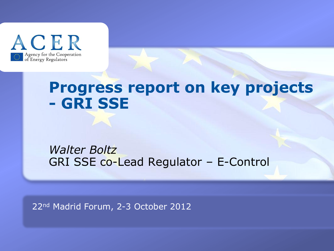

## **Progress report on key projects - GRI SSE**

### *Walter Boltz* GRI SSE co-Lead Regulator – E-Control

22nd Madrid Forum, 2-3 October 2012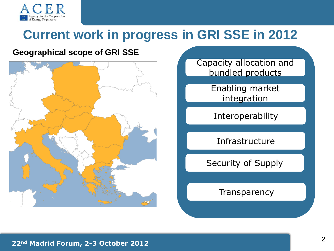

## **Current work in progress in GRI SSE in 2012**

### **Geographical scope of GRI SSE**



Capacity allocation and bundled products

> Enabling market integration

**Interoperability** 

Infrastructure

Security of Supply

**Transparency** 

#### **22nd Madrid Forum, 2-3 October 2012**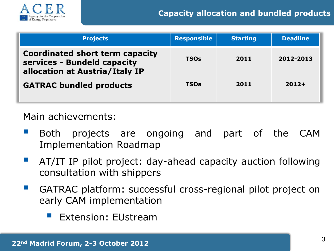

| <b>Projects</b>                                                                                  | <b>Responsible</b> | <b>Starting</b> | <b>Deadline</b> |
|--------------------------------------------------------------------------------------------------|--------------------|-----------------|-----------------|
| Coordinated short term capacity<br>services - Bundeld capacity<br>allocation at Austria/Italy IP | <b>TSOs</b>        | 2011            | 2012-2013       |
| <b>GATRAC bundled products</b>                                                                   | <b>TSOs</b>        | 2011            | $2012+$         |

Main achievements:

- Both projects are ongoing and part of the CAM Implementation Roadmap
- AT/IT IP pilot project: day-ahead capacity auction following consultation with shippers
- **GATRAC platform: successful cross-regional pilot project on** early CAM implementation
	- Extension: EUstream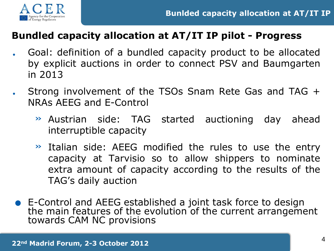



### **Bundled capacity allocation at AT/IT IP pilot - Progress**

- . Goal: definition of <sup>a</sup> bundled capacity product to be allocated by explicit auctions in order to connect PSV and Baumgarten in 2013
- . Strong involvement of the TSOs Snam Rete Gas and TAG <sup>+</sup> NRAs AEEG and E-Control
	- » Austrian side: TAG started auctioning day ahead interruptible capacity
	- » Italian side: AEEG modified the rules to use the entry capacity at Tarvisio so to allow shippers to nominate extra amount of capacity according to the results of the TAG's daily auction
- . E-Control and AEEG established a joint task force to design the main features of the evolution of the current arrangement towards CAM NC provisions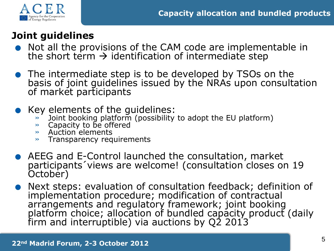

### **Joint guidelines**

- **Example the Cooperation**<br> **Soint guidelines**<br>
Not all the provisions of the CAM code are implementable in the short term  $\rightarrow$  identification of intermediate step
- . The intermediate step is to be developed by TSOs on the basis of joint guidelines issued by the NRAs upon consultation of market participants
- **•** Key elements of the guidelines:
	- » Joint booking platform (possibility to adopt the EU platform)
	- » Capacity to be offered
	- » Auction elements
	- » Transparency requirements
- . AEEG and E-Control launched the consultation, market participants´views are welcome! (consultation closes on 19 October)
- . Next steps: evaluation of consultation feedback; definition of implementation procedure; modification of contractual arrangements and regulatory framework; joint booking platform choice; allocation of bundled capacity product (daily firm and interruptible) via auctions by Q2 2013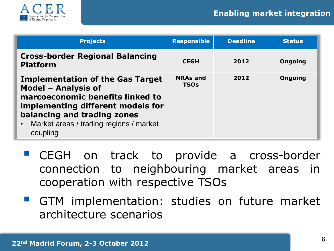

| <b>Projects</b>                                                                                                                                                                                                               | <b>Responsible</b>             | <b>Deadline</b> | <b>Status</b>  |
|-------------------------------------------------------------------------------------------------------------------------------------------------------------------------------------------------------------------------------|--------------------------------|-----------------|----------------|
| <b>Cross-border Regional Balancing</b><br><b>Platform</b>                                                                                                                                                                     | <b>CEGH</b>                    | 2012            | <b>Ongoing</b> |
| <b>Implementation of the Gas Target</b><br>Model - Analysis of<br>marcoeconomic benefits linked to<br>implementing different models for<br>balancing and trading zones<br>Market areas / trading regions / market<br>coupling | <b>NRAs and</b><br><b>TSOs</b> | 2012            | <b>Ongoing</b> |

- **CEGH** on track to provide a cross-border connection to neighbouring market areas in cooperation with respective TSOs
- **GTM** implementation: studies on future market architecture scenarios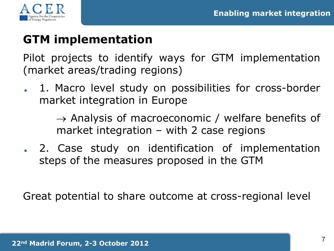



### **GTM implementation**

Pilot projects to identify ways for GTM implementation (market areas/trading regions)

. 1. Macro level study on possibilities for cross-border market integration in Europe

> $\rightarrow$  Analysis of macroeconomic / welfare benefits of market integration – with 2 case regions

. 2. Case study on identification of implementation steps of the measures proposed in the GTM

Great potential to share outcome at cross-regional level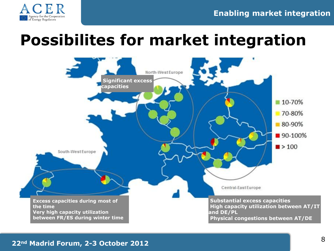

# **Possibilites for market integration**

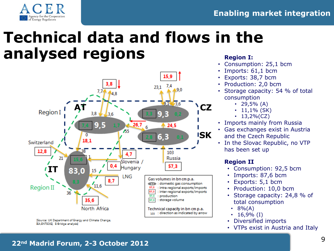

# **Technical data and flows in the analysed regions Region I:**



- Consumption: 25,1 bcm
- Imports: 61,1 bcm
- Exports: 38,7 bcm
- Production: 2,0 bcm
- Storage capacity: 54 % of total consumption
	- 29,5%  $(A)$
	- $11,1\%$  (SK)
	- $13,2\%$  (CZ)
- Imports mainly from Russia
- Gas exchanges exist in Austria and the Czech Republic
- In the Slovac Republic, no VTP has been set up

#### **Region II**

- Consumption: 92,5 bcm
- Imports: 87,6 bcm
- Exports: 5,1 bcm
- Production: 10,0 bcm
- Storage capacity: 24,8 % of total consumption
	- $8% (A)$
	- $16,9\%$  (I)
- Diversified imports
- VTPs exist in Austria and Italy

### **<sup>22</sup>nd Madrid Forum, 2-3 October 2012** <sup>9</sup>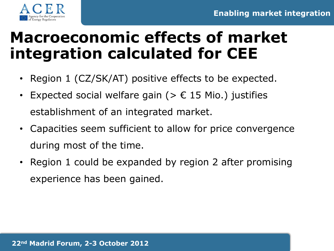![](_page_9_Picture_1.jpeg)

# **Macroeconomic effects of market integration calculated for CEE**

- Region 1 (CZ/SK/AT) positive effects to be expected.
- Expected social welfare gain ( $> \epsilon$  15 Mio.) justifies establishment of an integrated market.
- Capacities seem sufficient to allow for price convergence during most of the time.
- Region 1 could be expanded by region 2 after promising experience has been gained.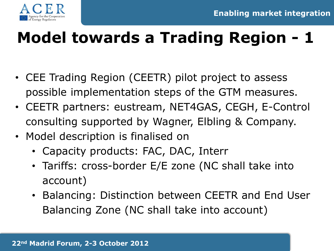![](_page_10_Picture_1.jpeg)

# **Model towards a Trading Region - 1**

- CEE Trading Region (CEETR) pilot project to assess possible implementation steps of the GTM measures.
- CEETR partners: eustream, NET4GAS, CEGH, E-Control consulting supported by Wagner, Elbling & Company.
- Model description is finalised on
	- Capacity products: FAC, DAC, Interr
	- Tariffs: cross-border E/E zone (NC shall take into account)
	- Balancing: Distinction between CEETR and End User Balancing Zone (NC shall take into account)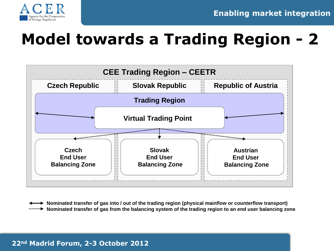![](_page_11_Picture_0.jpeg)

![](_page_11_Picture_1.jpeg)

# **Model towards a Trading Region - 2**

![](_page_11_Figure_3.jpeg)

**Nominated transfer of gas into / out of the trading region (physical mainflow or counterflow transport) Nominated transfer of gas from the balancing system of the trading region to an end user balancing zone**

#### **22nd Madrid Forum, 2-3 October 2012**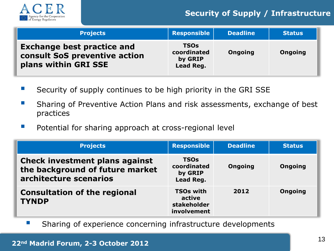![](_page_12_Picture_0.jpeg)

#### **Security of Supply / Infrastructure**

| <b>Projects</b>                                                                            | Responsible                                        | <b>Deadline</b> | <b>Status</b>  |
|--------------------------------------------------------------------------------------------|----------------------------------------------------|-----------------|----------------|
| <b>Exchange best practice and</b><br>consult SoS preventive action<br>plans within GRI SSE | <b>TSOs</b><br>coordinated<br>by GRIP<br>Lead Reg. | <b>Ongoing</b>  | <b>Ongoing</b> |

- Security of supply continues to be high priority in the GRI SSE
- Sharing of Preventive Action Plans and risk assessments, exchange of best practices
- **Potential for sharing approach at cross-regional level**

| <b>Projects</b>                                                                             | <b>Responsible</b>                                       | <b>Deadline</b> | <b>Status</b>  |
|---------------------------------------------------------------------------------------------|----------------------------------------------------------|-----------------|----------------|
| Check investment plans against<br>the background of future market<br>architecture scenarios | <b>TSOs</b><br>coordinated<br>by GRIP<br>Lead Reg.       | <b>Ongoing</b>  | <b>Ongoing</b> |
| <b>Consultation of the regional</b><br><b>TYNDP</b>                                         | <b>TSOs with</b><br>active<br>stakeholder<br>involvement | 2012            | <b>Ongoing</b> |

**Sharing of experience concerning infrastructure developments**